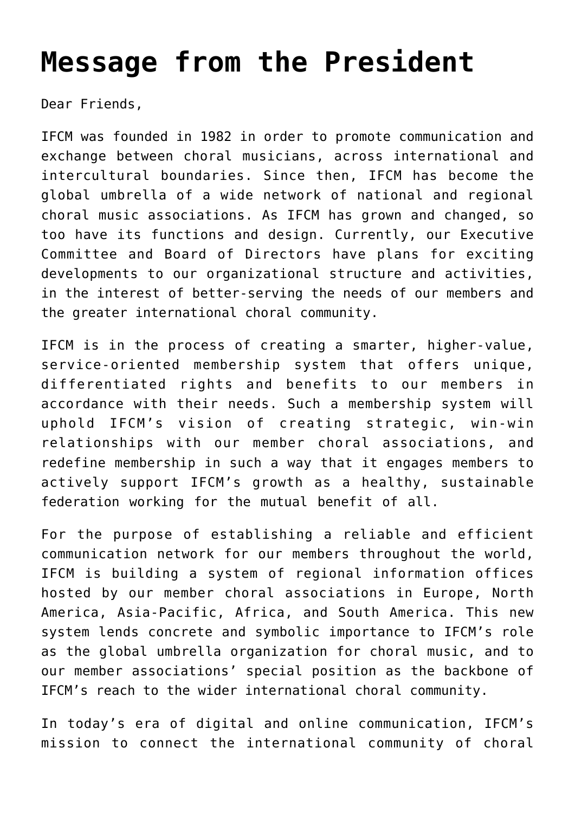## **[Message from the President](http://icb.ifcm.net/message-from-the-president-7/)**

Dear Friends,

IFCM was founded in 1982 in order to promote communication and exchange between choral musicians, across international and intercultural boundaries. Since then, IFCM has become the global umbrella of a wide network of national and regional choral music associations. As IFCM has grown and changed, so too have its functions and design. Currently, our Executive Committee and Board of Directors have plans for exciting developments to our organizational structure and activities, in the interest of better-serving the needs of our members and the greater international choral community.

IFCM is in the process of creating a smarter, higher-value, service-oriented membership system that offers unique, differentiated rights and benefits to our members in accordance with their needs. Such a membership system will uphold IFCM's vision of creating strategic, win-win relationships with our member choral associations, and redefine membership in such a way that it engages members to actively support IFCM's growth as a healthy, sustainable federation working for the mutual benefit of all.

For the purpose of establishing a reliable and efficient communication network for our members throughout the world, IFCM is building a system of regional information offices hosted by our member choral associations in Europe, North America, Asia-Pacific, Africa, and South America. This new system lends concrete and symbolic importance to IFCM's role as the global umbrella organization for choral music, and to our member associations' special position as the backbone of IFCM's reach to the wider international choral community.

In today's era of digital and online communication, IFCM's mission to connect the international community of choral